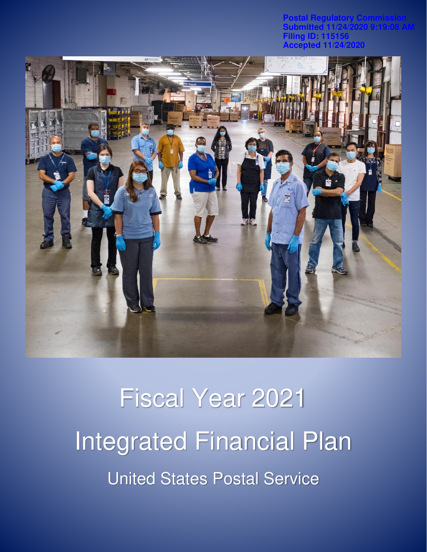**Postal Regulatory Commission Submitted 11/24/2020 9:19:08 AM Filing ID: 115156 Accepted 11/24/2020**



# Fiscal Year 2021 Integrated Financial Plan United States Postal Service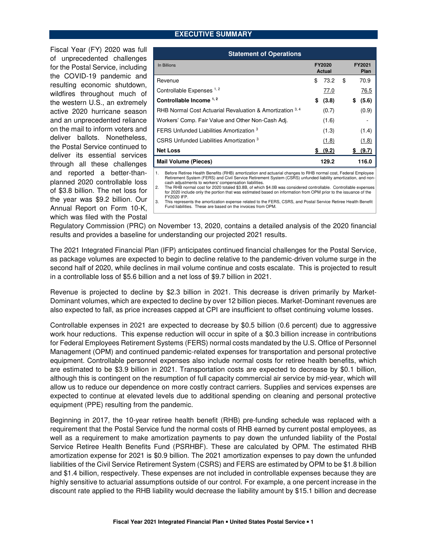#### **EXECUTIVE SUMMARY**

Fiscal Year (FY) 2020 was full of unprecedented challenges for the Postal Service, including the COVID-19 pandemic and resulting economic shutdown, wildfires throughout much of the western U.S., an extremely active 2020 hurricane season and an unprecedented reliance on the mail to inform voters and deliver ballots. Nonetheless, the Postal Service continued to deliver its essential services through all these challenges and reported a better-thanplanned 2020 controllable loss of \$3.8 billion. The net loss for the year was \$9.2 billion. Our Annual Report on Form 10-K, which was filed with the Postal

| <b>Statement of Operations</b>                            |                  |          |                |             |  |  |  |  |
|-----------------------------------------------------------|------------------|----------|----------------|-------------|--|--|--|--|
| In Billions                                               | FY2020<br>Actual |          | FY2021<br>Plan |             |  |  |  |  |
| Revenue                                                   | \$               | 73.2     | \$             | 70.9        |  |  |  |  |
| Controllable Expenses 1, 2                                |                  | 77.0     |                | 76.5        |  |  |  |  |
| Controllable Income 1, 2                                  | S                | (3.8)    |                | (5.6)<br>\$ |  |  |  |  |
| RHB Normal Cost Actuarial Revaluation & Amortization 3, 4 |                  | (0.7)    |                | (0.9)       |  |  |  |  |
| Workers' Comp. Fair Value and Other Non-Cash Adj.         |                  | (1.6)    |                |             |  |  |  |  |
| FERS Unfunded Liabilities Amortization 3                  |                  | (1.3)    |                | (1.4)       |  |  |  |  |
| CSRS Unfunded Liabilities Amortization 3                  |                  | (1.8)    |                | (1.8)       |  |  |  |  |
| <b>Net Loss</b>                                           |                  | \$ (9.2) |                | \$ (9.7)    |  |  |  |  |
| <b>Mail Volume (Pieces)</b>                               |                  | 129.2    |                | 116.0       |  |  |  |  |

1. Before Retiree Health Benefits (RHB) amortization and actuarial changes to RHB normal cost, Federal Employee Retirement System (FERS) and Civil Service Retirement System (CSRS) unfunded liability amortization, and non-cash adjustments to workers' compensation liabilities.

2. The RHB normal cost for 2020 totaled \$3.8B, of which \$4.0B was considered controllable. Controllable expenses for 2020 include only the portion that was estimated based on information from OPM prior to the issuance of the

FY2020 IFP. 3. This represents the amortization expense related to the FERS, CSRS, and Postal Service Retiree Health Benefit Fund liabilities. These are based on the invoices from OPM.

Regulatory Commission (PRC) on November 13, 2020, contains a detailed analysis of the 2020 financial results and provides a baseline for understanding our projected 2021 results.

The 2021 Integrated Financial Plan (IFP) anticipates continued financial challenges for the Postal Service, as package volumes are expected to begin to decline relative to the pandemic-driven volume surge in the second half of 2020, while declines in mail volume continue and costs escalate. This is projected to result in a controllable loss of \$5.6 billion and a net loss of \$9.7 billion in 2021.

Revenue is projected to decline by \$2.3 billion in 2021. This decrease is driven primarily by Market-Dominant volumes, which are expected to decline by over 12 billion pieces. Market-Dominant revenues are also expected to fall, as price increases capped at CPI are insufficient to offset continuing volume losses.

Controllable expenses in 2021 are expected to decrease by \$0.5 billion (0.6 percent) due to aggressive work hour reductions. This expense reduction will occur in spite of a \$0.3 billion increase in contributions for Federal Employees Retirement Systems (FERS) normal costs mandated by the U.S. Office of Personnel Management (OPM) and continued pandemic-related expenses for transportation and personal protective equipment. Controllable personnel expenses also include normal costs for retiree health benefits, which are estimated to be \$3.9 billion in 2021. Transportation costs are expected to decrease by \$0.1 billion, although this is contingent on the resumption of full capacity commercial air service by mid-year, which will allow us to reduce our dependence on more costly contract carriers. Supplies and services expenses are expected to continue at elevated levels due to additional spending on cleaning and personal protective equipment (PPE) resulting from the pandemic.

Beginning in 2017, the 10-year retiree health benefit (RHB) pre-funding schedule was replaced with a requirement that the Postal Service fund the normal costs of RHB earned by current postal employees, as well as a requirement to make amortization payments to pay down the unfunded liability of the Postal Service Retiree Health Benefits Fund (PSRHBF). These are calculated by OPM. The estimated RHB amortization expense for 2021 is \$0.9 billion. The 2021 amortization expenses to pay down the unfunded liabilities of the Civil Service Retirement System (CSRS) and FERS are estimated by OPM to be \$1.8 billion and \$1.4 billion, respectively. These expenses are not included in controllable expenses because they are highly sensitive to actuarial assumptions outside of our control. For example, a one percent increase in the discount rate applied to the RHB liability would decrease the liability amount by \$15.1 billion and decrease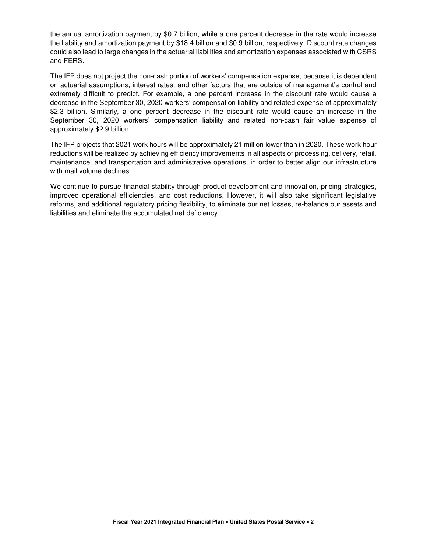the annual amortization payment by \$0.7 billion, while a one percent decrease in the rate would increase the liability and amortization payment by \$18.4 billion and \$0.9 billion, respectively. Discount rate changes could also lead to large changes in the actuarial liabilities and amortization expenses associated with CSRS and FERS.

The IFP does not project the non-cash portion of workers' compensation expense, because it is dependent on actuarial assumptions, interest rates, and other factors that are outside of management's control and extremely difficult to predict. For example, a one percent increase in the discount rate would cause a decrease in the September 30, 2020 workers' compensation liability and related expense of approximately \$2.3 billion. Similarly, a one percent decrease in the discount rate would cause an increase in the September 30, 2020 workers' compensation liability and related non-cash fair value expense of approximately \$2.9 billion.

The IFP projects that 2021 work hours will be approximately 21 million lower than in 2020. These work hour reductions will be realized by achieving efficiency improvements in all aspects of processing, delivery, retail, maintenance, and transportation and administrative operations, in order to better align our infrastructure with mail volume declines.

We continue to pursue financial stability through product development and innovation, pricing strategies, improved operational efficiencies, and cost reductions. However, it will also take significant legislative reforms, and additional regulatory pricing flexibility, to eliminate our net losses, re-balance our assets and liabilities and eliminate the accumulated net deficiency.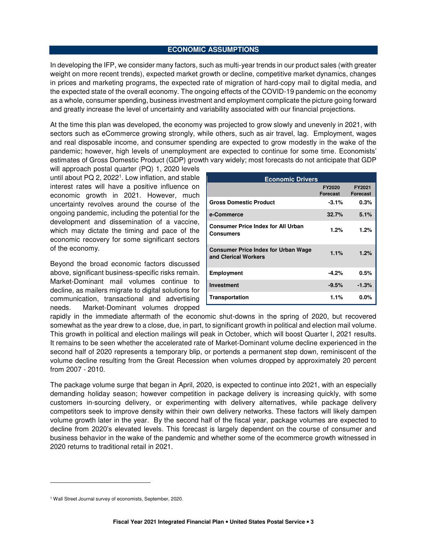#### **ECONOMIC ASSUMPTIONS**

In developing the IFP, we consider many factors, such as multi-year trends in our product sales (with greater weight on more recent trends), expected market growth or decline, competitive market dynamics, changes in prices and marketing programs, the expected rate of migration of hard-copy mail to digital media, and the expected state of the overall economy. The ongoing effects of the COVID-19 pandemic on the economy as a whole, consumer spending, business investment and employment complicate the picture going forward and greatly increase the level of uncertainty and variability associated with our financial projections.

At the time this plan was developed, the economy was projected to grow slowly and unevenly in 2021, with sectors such as eCommerce growing strongly, while others, such as air travel, lag. Employment, wages and real disposable income, and consumer spending are expected to grow modestly in the wake of the pandemic; however, high levels of unemployment are expected to continue for some time. Economists' estimates of Gross Domestic Product (GDP) growth vary widely; most forecasts do not anticipate that GDP

will approach postal quarter (PQ) 1, 2020 levels until about PQ 2, 2022<sup>1</sup> . Low inflation, and stable interest rates will have a positive influence on economic growth in 2021. However, much uncertainty revolves around the course of the ongoing pandemic, including the potential for the development and dissemination of a vaccine, which may dictate the timing and pace of the economic recovery for some significant sectors of the economy.

Beyond the broad economic factors discussed above, significant business-specific risks remain. Market-Dominant mail volumes continue to decline, as mailers migrate to digital solutions for communication, transactional and advertising needs. Market-Dominant volumes dropped

| <b>Economic Drivers</b>                                            |                                  |                           |  |  |  |  |
|--------------------------------------------------------------------|----------------------------------|---------------------------|--|--|--|--|
|                                                                    | <b>FY2020</b><br><b>Forecast</b> | FY2021<br><b>Forecast</b> |  |  |  |  |
| <b>Gross Domestic Product</b>                                      | $-3.1%$                          | 0.3%                      |  |  |  |  |
| e-Commerce                                                         | 32.7%                            | 5.1%                      |  |  |  |  |
| <b>Consumer Price Index for All Urban</b><br>Consumers             | 1.2%                             | 1.2%                      |  |  |  |  |
| <b>Consumer Price Index for Urban Wage</b><br>and Clerical Workers | 1.1%                             | 1.2%                      |  |  |  |  |
| <b>Employment</b>                                                  | $-4.2%$                          | 0.5%                      |  |  |  |  |
| <b>Investment</b>                                                  | $-9.5%$                          | $-1.3%$                   |  |  |  |  |
| Transportation                                                     | 1.1%                             | $0.0\%$                   |  |  |  |  |

rapidly in the immediate aftermath of the economic shut-downs in the spring of 2020, but recovered somewhat as the year drew to a close, due, in part, to significant growth in political and election mail volume. This growth in political and election mailings will peak in October, which will boost Quarter I, 2021 results. It remains to be seen whether the accelerated rate of Market-Dominant volume decline experienced in the second half of 2020 represents a temporary blip, or portends a permanent step down, reminiscent of the volume decline resulting from the Great Recession when volumes dropped by approximately 20 percent from 2007 - 2010.

The package volume surge that began in April, 2020, is expected to continue into 2021, with an especially demanding holiday season; however competition in package delivery is increasing quickly, with some customers in-sourcing delivery, or experimenting with delivery alternatives, while package delivery competitors seek to improve density within their own delivery networks. These factors will likely dampen volume growth later in the year. By the second half of the fiscal year, package volumes are expected to decline from 2020's elevated levels. This forecast is largely dependent on the course of consumer and business behavior in the wake of the pandemic and whether some of the ecommerce growth witnessed in 2020 returns to traditional retail in 2021.

l.

<sup>&</sup>lt;sup>1</sup> Wall Street Journal survey of economists, September, 2020.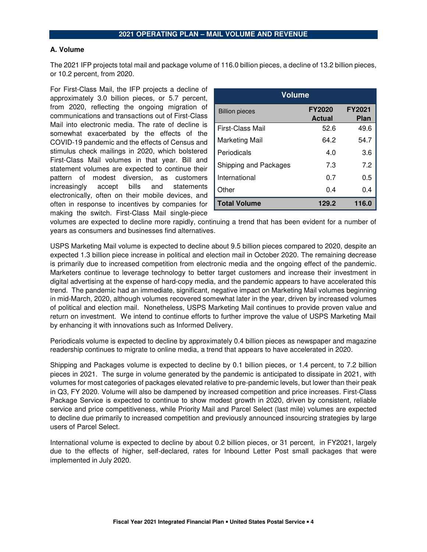## **2021 OPERATING PLAN – MAIL VOLUME AND REVENUE**

#### **A. Volume**

The 2021 IFP projects total mail and package volume of 116.0 billion pieces, a decline of 13.2 billion pieces, or 10.2 percent, from 2020.

For First-Class Mail, the IFP projects a decline of approximately 3.0 billion pieces, or 5.7 percent, from 2020, reflecting the ongoing migration of communications and transactions out of First-Class Mail into electronic media. The rate of decline is somewhat exacerbated by the effects of the COVID-19 pandemic and the effects of Census and stimulus check mailings in 2020, which bolstered First-Class Mail volumes in that year. Bill and statement volumes are expected to continue their pattern of modest diversion, as customers increasingly accept bills and statements electronically, often on their mobile devices, and often in response to incentives by companies for making the switch. First-Class Mail single-piece

| <b>Volume</b>         |                                |                              |  |  |  |  |
|-----------------------|--------------------------------|------------------------------|--|--|--|--|
| <b>Billion pieces</b> | <b>FY2020</b><br><b>Actual</b> | <b>FY2021</b><br><b>Plan</b> |  |  |  |  |
| First-Class Mail      | 52.6                           | 49.6                         |  |  |  |  |
| Marketing Mail        | 64.2                           | 54.7                         |  |  |  |  |
| Periodicals           | 4.0                            | 3.6                          |  |  |  |  |
| Shipping and Packages | 7.3                            | 7.2                          |  |  |  |  |
| International         | 0.7                            | 0.5                          |  |  |  |  |
| Other                 | 0.4                            | 0.4                          |  |  |  |  |
| <b>Total Volume</b>   | 129.2                          | 116.0                        |  |  |  |  |

volumes are expected to decline more rapidly, continuing a trend that has been evident for a number of years as consumers and businesses find alternatives.

USPS Marketing Mail volume is expected to decline about 9.5 billion pieces compared to 2020, despite an expected 1.3 billion piece increase in political and election mail in October 2020. The remaining decrease is primarily due to increased competition from electronic media and the ongoing effect of the pandemic. Marketers continue to leverage technology to better target customers and increase their investment in digital advertising at the expense of hard-copy media, and the pandemic appears to have accelerated this trend. The pandemic had an immediate, significant, negative impact on Marketing Mail volumes beginning in mid-March, 2020, although volumes recovered somewhat later in the year, driven by increased volumes of political and election mail. Nonetheless, USPS Marketing Mail continues to provide proven value and return on investment. We intend to continue efforts to further improve the value of USPS Marketing Mail by enhancing it with innovations such as Informed Delivery.

Periodicals volume is expected to decline by approximately 0.4 billion pieces as newspaper and magazine readership continues to migrate to online media, a trend that appears to have accelerated in 2020.

Shipping and Packages volume is expected to decline by 0.1 billion pieces, or 1.4 percent, to 7.2 billion pieces in 2021. The surge in volume generated by the pandemic is anticipated to dissipate in 2021, with volumes for most categories of packages elevated relative to pre-pandemic levels, but lower than their peak in Q3, FY 2020. Volume will also be dampened by increased competition and price increases. First-Class Package Service is expected to continue to show modest growth in 2020, driven by consistent, reliable service and price competitiveness, while Priority Mail and Parcel Select (last mile) volumes are expected to decline due primarily to increased competition and previously announced insourcing strategies by large users of Parcel Select.

International volume is expected to decline by about 0.2 billion pieces, or 31 percent, in FY2021, largely due to the effects of higher, self-declared, rates for Inbound Letter Post small packages that were implemented in July 2020.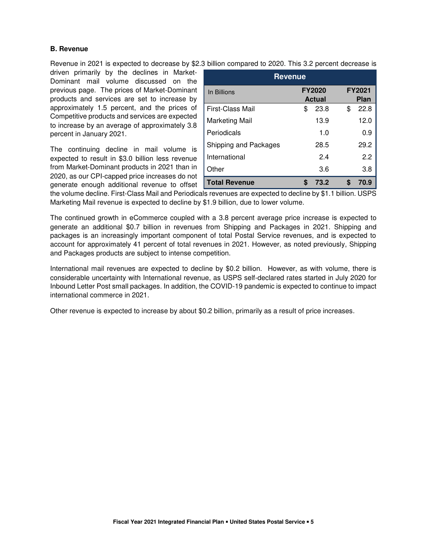# **B. Revenue**

Revenue in 2021 is expected to decrease by \$2.3 billion compared to 2020. This 3.2 percent decrease is

driven primarily by the declines in Market-Dominant mail volume discussed on the previous page. The prices of Market-Dominant products and services are set to increase by approximately 1.5 percent, and the prices of Competitive products and services are expected to increase by an average of approximately 3.8 percent in January 2021.

The continuing decline in mail volume is expected to result in \$3.0 billion less revenue from Market-Dominant products in 2021 than in 2020, as our CPI-capped price increases do not generate enough additional revenue to offset

| <b>Revenue</b>        |                                                                |            |  |  |  |  |
|-----------------------|----------------------------------------------------------------|------------|--|--|--|--|
| In Billions           | <b>FY2021</b><br><b>FY2020</b><br><b>Actual</b><br><b>Plan</b> |            |  |  |  |  |
| First-Class Mail      | 23.8<br>\$                                                     | 22.8<br>\$ |  |  |  |  |
| Marketing Mail        | 13.9                                                           | 12.0       |  |  |  |  |
| Periodicals           | 1.0                                                            | 0.9        |  |  |  |  |
| Shipping and Packages | 28.5                                                           | 29.2       |  |  |  |  |
| International         | 24                                                             | 2.2        |  |  |  |  |
| Other                 | 3.6                                                            | 3.8        |  |  |  |  |
| <b>Total Revenue</b>  | 73.2<br>\$                                                     | 70.9<br>\$ |  |  |  |  |

the volume decline. First-Class Mail and Periodicals revenues are expected to decline by \$1.1 billion. USPS Marketing Mail revenue is expected to decline by \$1.9 billion, due to lower volume.

The continued growth in eCommerce coupled with a 3.8 percent average price increase is expected to generate an additional \$0.7 billion in revenues from Shipping and Packages in 2021. Shipping and packages is an increasingly important component of total Postal Service revenues, and is expected to account for approximately 41 percent of total revenues in 2021. However, as noted previously, Shipping and Packages products are subject to intense competition.

International mail revenues are expected to decline by \$0.2 billion. However, as with volume, there is considerable uncertainty with International revenue, as USPS self-declared rates started in July 2020 for Inbound Letter Post small packages. In addition, the COVID-19 pandemic is expected to continue to impact international commerce in 2021.

Other revenue is expected to increase by about \$0.2 billion, primarily as a result of price increases.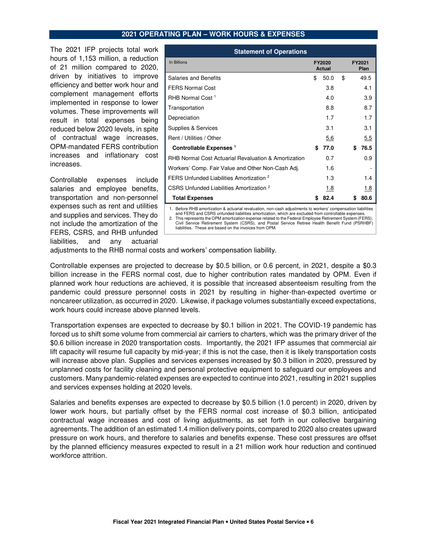#### **2021 OPERATING PLAN – WORK HOURS & EXPENSES**

The 2021 IFP projects total work hours of 1,153 million, a reduction of 21 million compared to 2020, driven by initiatives to improve efficiency and better work hour and complement management efforts implemented in response to lower volumes. These improvements will result in total expenses being reduced below 2020 levels, in spite of contractual wage increases, OPM-mandated FERS contribution increases and inflationary cost increases.

Controllable expenses include salaries and employee benefits, transportation and non-personnel expenses such as rent and utilities and supplies and services. They do not include the amortization of the FERS, CSRS, and RHB unfunded liabilities, and any actuarial

| <b>Statement of Operations</b>                                                                                                                                                                                       |                         |      |    |                |      |  |  |  |
|----------------------------------------------------------------------------------------------------------------------------------------------------------------------------------------------------------------------|-------------------------|------|----|----------------|------|--|--|--|
| In Billions                                                                                                                                                                                                          | FY2020<br><b>Actual</b> |      |    | FY2021<br>Plan |      |  |  |  |
| <b>Salaries and Benefits</b>                                                                                                                                                                                         | \$                      | 50.0 | \$ |                | 49.5 |  |  |  |
| <b>FERS Normal Cost</b>                                                                                                                                                                                              |                         | 3.8  |    |                | 4.1  |  |  |  |
| RHB Normal Cost <sup>1</sup>                                                                                                                                                                                         |                         | 4.0  |    |                | 3.9  |  |  |  |
| Transportation                                                                                                                                                                                                       |                         | 8.8  |    |                | 8.7  |  |  |  |
| Depreciation                                                                                                                                                                                                         |                         | 1.7  |    |                | 1.7  |  |  |  |
| Supplies & Services                                                                                                                                                                                                  |                         | 3.1  |    |                | 3.1  |  |  |  |
| Rent / Utilities / Other                                                                                                                                                                                             |                         | 5.6  |    |                | 5.5  |  |  |  |
| Controllable Expenses <sup>1</sup>                                                                                                                                                                                   | \$                      | 77.0 |    | \$             | 76.5 |  |  |  |
| RHB Normal Cost Actuarial Revaluation & Amortization                                                                                                                                                                 |                         | 0.7  |    |                | 0.9  |  |  |  |
| Workers' Comp. Fair Value and Other Non-Cash Adj.                                                                                                                                                                    |                         | 1.6  |    |                |      |  |  |  |
| FERS Unfunded Liabilities Amortization <sup>2</sup>                                                                                                                                                                  |                         | 1.3  |    |                | 1.4  |  |  |  |
| CSRS Unfunded Liabilities Amortization <sup>2</sup>                                                                                                                                                                  |                         | 1.8  |    |                | 1.8  |  |  |  |
| <b>Total Expenses</b>                                                                                                                                                                                                | \$                      | 82.4 |    | S              | 80.6 |  |  |  |
| 1. Before RHB amortization & actuarial revaluation, non-cash adjustments to workers' compensation liabilities<br>and FERS and CSRS unfunded liabilities amortization, which are excluded from controllable expenses. |                         |      |    |                |      |  |  |  |

and FERS and CSRS unfunded liabilities amortization, which are excluded from controllable expenses.<br>2. This represents the OPM amortization expense related to the Federal Employee Retirement System (FERS),<br>Civil Service Re liabilities. These are based on the invoices from OPM.

adjustments to the RHB normal costs and workers' compensation liability.

Controllable expenses are projected to decrease by \$0.5 billion, or 0.6 percent, in 2021, despite a \$0.3 billion increase in the FERS normal cost, due to higher contribution rates mandated by OPM. Even if planned work hour reductions are achieved, it is possible that increased absenteeism resulting from the pandemic could pressure personnel costs in 2021 by resulting in higher-than-expected overtime or noncareer utilization, as occurred in 2020. Likewise, if package volumes substantially exceed expectations, work hours could increase above planned levels.

Transportation expenses are expected to decrease by \$0.1 billion in 2021. The COVID-19 pandemic has forced us to shift some volume from commercial air carriers to charters, which was the primary driver of the \$0.6 billion increase in 2020 transportation costs. Importantly, the 2021 IFP assumes that commercial air lift capacity will resume full capacity by mid-year; if this is not the case, then it is likely transportation costs will increase above plan. Supplies and services expenses increased by \$0.3 billion in 2020, pressured by unplanned costs for facility cleaning and personal protective equipment to safeguard our employees and customers. Many pandemic-related expenses are expected to continue into 2021, resulting in 2021 supplies and services expenses holding at 2020 levels.

Salaries and benefits expenses are expected to decrease by \$0.5 billion (1.0 percent) in 2020, driven by lower work hours, but partially offset by the FERS normal cost increase of \$0.3 billion, anticipated contractual wage increases and cost of living adjustments, as set forth in our collective bargaining agreements. The addition of an estimated 1.4 million delivery points, compared to 2020 also creates upward pressure on work hours, and therefore to salaries and benefits expense. These cost pressures are offset by the planned efficiency measures expected to result in a 21 million work hour reduction and continued workforce attrition.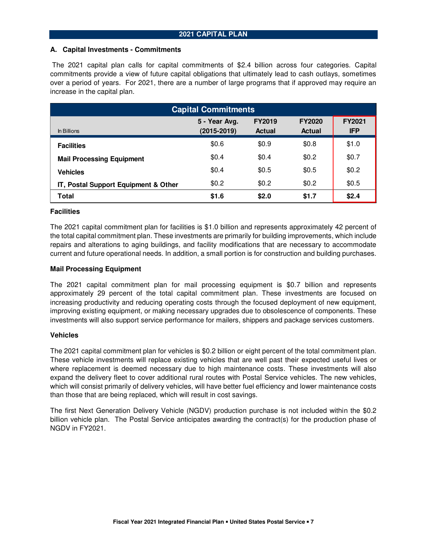## **A. Capital Investments - Commitments**

 The 2021 capital plan calls for capital commitments of \$2.4 billion across four categories. Capital commitments provide a view of future capital obligations that ultimately lead to cash outlays, sometimes over a period of years. For 2021, there are a number of large programs that if approved may require an increase in the capital plan.

| <b>Capital Commitments</b>           |                                                                  |       |               |            |  |  |  |
|--------------------------------------|------------------------------------------------------------------|-------|---------------|------------|--|--|--|
| In Billions                          | 5 - Year Avg.<br><b>FY2019</b><br><b>FY2020</b><br><b>Actual</b> |       |               |            |  |  |  |
|                                      | $(2015 - 2019)$                                                  |       | <b>Actual</b> | <b>IFP</b> |  |  |  |
| <b>Facilities</b>                    | \$0.6                                                            | \$0.9 | \$0.8         | \$1.0      |  |  |  |
| <b>Mail Processing Equipment</b>     | \$0.4                                                            | \$0.4 | \$0.2         | \$0.7      |  |  |  |
| <b>Vehicles</b>                      | \$0.4                                                            | \$0.5 | \$0.5         | \$0.2      |  |  |  |
| IT, Postal Support Equipment & Other | \$0.2                                                            | \$0.2 | \$0.2         | \$0.5      |  |  |  |
| Total                                | \$1.6                                                            | \$2.0 | \$1.7         | \$2.4      |  |  |  |

# **Facilities**

The 2021 capital commitment plan for facilities is \$1.0 billion and represents approximately 42 percent of the total capital commitment plan. These investments are primarily for building improvements, which include repairs and alterations to aging buildings, and facility modifications that are necessary to accommodate current and future operational needs. In addition, a small portion is for construction and building purchases.

# **Mail Processing Equipment**

The 2021 capital commitment plan for mail processing equipment is \$0.7 billion and represents approximately 29 percent of the total capital commitment plan. These investments are focused on increasing productivity and reducing operating costs through the focused deployment of new equipment, improving existing equipment, or making necessary upgrades due to obsolescence of components. These investments will also support service performance for mailers, shippers and package services customers.

## **Vehicles**

The 2021 capital commitment plan for vehicles is \$0.2 billion or eight percent of the total commitment plan. These vehicle investments will replace existing vehicles that are well past their expected useful lives or where replacement is deemed necessary due to high maintenance costs. These investments will also expand the delivery fleet to cover additional rural routes with Postal Service vehicles. The new vehicles, which will consist primarily of delivery vehicles, will have better fuel efficiency and lower maintenance costs than those that are being replaced, which will result in cost savings.

The first Next Generation Delivery Vehicle (NGDV) production purchase is not included within the \$0.2 billion vehicle plan. The Postal Service anticipates awarding the contract(s) for the production phase of NGDV in FY2021.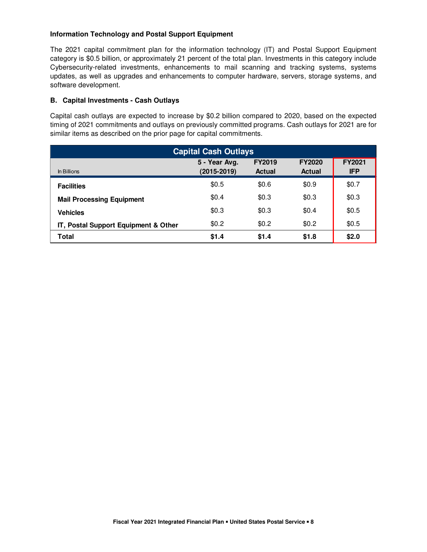# **Information Technology and Postal Support Equipment**

The 2021 capital commitment plan for the information technology (IT) and Postal Support Equipment category is \$0.5 billion, or approximately 21 percent of the total plan. Investments in this category include Cybersecurity-related investments, enhancements to mail scanning and tracking systems, systems updates, as well as upgrades and enhancements to computer hardware, servers, storage systems, and software development.

# **B. Capital Investments - Cash Outlays**

Capital cash outlays are expected to increase by \$0.2 billion compared to 2020, based on the expected timing of 2021 commitments and outlays on previously committed programs. Cash outlays for 2021 are for similar items as described on the prior page for capital commitments.

| <b>Capital Cash Outlays</b>          |                                  |                                |                                |                             |  |  |  |
|--------------------------------------|----------------------------------|--------------------------------|--------------------------------|-----------------------------|--|--|--|
| In Billions                          | 5 - Year Avg.<br>$(2015 - 2019)$ | <b>FY2019</b><br><b>Actual</b> | <b>FY2020</b><br><b>Actual</b> | <b>FY2021</b><br><b>IFP</b> |  |  |  |
| <b>Facilities</b>                    | \$0.5                            | \$0.6                          | \$0.9                          | \$0.7                       |  |  |  |
| <b>Mail Processing Equipment</b>     | \$0.4                            | \$0.3                          | \$0.3                          | \$0.3                       |  |  |  |
| <b>Vehicles</b>                      | \$0.3                            | \$0.3                          | \$0.4                          | \$0.5                       |  |  |  |
| IT, Postal Support Equipment & Other | \$0.2\$                          | \$0.2                          | \$0.2                          | \$0.5                       |  |  |  |
| Total                                | \$1.4                            | \$1.4                          | \$1.8                          | \$2.0                       |  |  |  |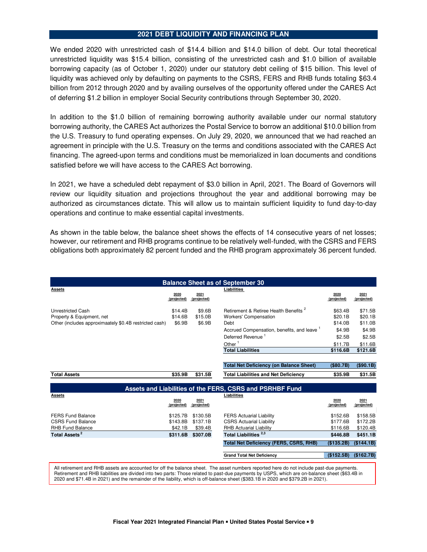## **2021 DEBT LIQUIDITY AND FINANCING PLAN**

We ended 2020 with unrestricted cash of \$14.4 billion and \$14.0 billion of debt. Our total theoretical unrestricted liquidity was \$15.4 billion, consisting of the unrestricted cash and \$1.0 billion of available borrowing capacity (as of October 1, 2020) under our statutory debt ceiling of \$15 billion. This level of liquidity was achieved only by defaulting on payments to the CSRS, FERS and RHB funds totaling \$63.4 billion from 2012 through 2020 and by availing ourselves of the opportunity offered under the CARES Act of deferring \$1.2 billion in employer Social Security contributions through September 30, 2020.

In addition to the \$1.0 billion of remaining borrowing authority available under our normal statutory borrowing authority, the CARES Act authorizes the Postal Service to borrow an additional \$10.0 billion from the U.S. Treasury to fund operating expenses. On July 29, 2020, we announced that we had reached an agreement in principle with the U.S. Treasury on the terms and conditions associated with the CARES Act financing. The agreed-upon terms and conditions must be memorialized in loan documents and conditions satisfied before we will have access to the CARES Act borrowing.

In 2021, we have a scheduled debt repayment of \$3.0 billion in April, 2021. The Board of Governors will review our liquidity situation and projections throughout the year and additional borrowing may be authorized as circumstances dictate. This will allow us to maintain sufficient liquidity to fund day-to-day operations and continue to make essential capital investments.

As shown in the table below, the balance sheet shows the effects of 14 consecutive years of net losses; however, our retirement and RHB programs continue to be relatively well-funded, with the CSRS and FERS obligations both approximately 82 percent funded and the RHB program approximately 36 percent funded.

|                                                          |                     |                     | <b>Balance Sheet as of September 30</b>           |                     |                     |  |  |
|----------------------------------------------------------|---------------------|---------------------|---------------------------------------------------|---------------------|---------------------|--|--|
| <b>Assets</b>                                            |                     |                     | Liabilities                                       |                     |                     |  |  |
|                                                          | 2020<br>(projected) | 2021<br>(projected) |                                                   | 2020<br>(projected) | 2021<br>(projected) |  |  |
|                                                          |                     |                     |                                                   |                     |                     |  |  |
| <b>Unrestricted Cash</b>                                 | \$14.4B             | \$9.6B              | Retirement & Retiree Health Benefits <sup>2</sup> | \$63.4B             | \$71.5B             |  |  |
| Property & Equipment, net                                | \$14.6B             | \$15.0B             | <b>Workers' Compensation</b>                      | \$20.1B             | \$20.1B             |  |  |
| Other (includes approximaately \$0.4B restricted cash)   | \$6.9B              | \$6.9B              | Debt                                              | \$14.0B             | \$11.0B             |  |  |
|                                                          |                     |                     | Accrued Compensation, benefits, and leave 1       | \$4.9B              | \$4.9B              |  |  |
|                                                          |                     |                     | Deferred Revenue <sup>1</sup>                     | \$2.5B              | \$2.5B              |  |  |
|                                                          |                     |                     | Other $1$                                         | \$11.7B             | \$11.6B             |  |  |
|                                                          |                     |                     | <b>Total Liabilities</b>                          | \$116.6B            | \$121.6B            |  |  |
|                                                          |                     |                     |                                                   |                     |                     |  |  |
|                                                          |                     |                     | <b>Total Net Deficiency (on Balance Sheet)</b>    | (\$0.7B)            | (\$90.1B)           |  |  |
| <b>Total Assets</b>                                      | \$35.9B             | \$31.5B             | <b>Total Liabilities and Net Deficiency</b>       | \$35.9B             | \$31.5B             |  |  |
|                                                          |                     |                     |                                                   |                     |                     |  |  |
| Assets and Liabilities of the FERS, CSRS and PSRHBF Fund |                     |                     |                                                   |                     |                     |  |  |
| <b>Assets</b>                                            |                     |                     | Liabilities                                       |                     |                     |  |  |
|                                                          | 2020<br>(projected) | 2021<br>(projected) |                                                   | 2020<br>(projected) | 2021<br>(projected) |  |  |
|                                                          |                     |                     |                                                   |                     |                     |  |  |
| <b>FERS Fund Balance</b>                                 | \$125.7B            | \$130.5B            | <b>FERS Actuarial Liability</b>                   | \$152.6B            | \$158.5B            |  |  |
| <b>CSRS Fund Balance</b>                                 | \$143.8B            | \$137.1B            | <b>CSRS Actuarial Liability</b>                   | \$177.6B            | \$172.2B            |  |  |
| <b>RHB Fund Balance</b>                                  | \$42.1B             | \$39.4B             | <b>RHB Actuarial Liability</b>                    | \$116.6B            | \$120.4B            |  |  |
| Total Assets <sup>2</sup>                                | \$311.6B            | \$307.0B            | Total Liabilities <sup>2,3</sup>                  | \$446.8B            | \$451.1B            |  |  |
|                                                          |                     |                     | <b>Total Net Deficiency (FERS, CSRS, RHB)</b>     | (\$135.2B)          | (\$144.1B)          |  |  |
|                                                          |                     |                     |                                                   |                     |                     |  |  |
|                                                          |                     |                     | <b>Grand Total Net Deficiency</b>                 | (\$152.5B)          | (\$162.7B)          |  |  |
|                                                          |                     |                     |                                                   |                     |                     |  |  |

All retirement and RHB assets are accounted for off the balance sheet. The asset numbers reported here do not include past-due payments. Retirement and RHB liabilities are divided into two parts: Those related to past-due payments by USPS, which are on-balance sheet (\$63.4B in 2020 and \$71.4B in 2021) and the remainder of the liability, which is off-balance sheet (\$383.1B in 2020 and \$379.2B in 2021).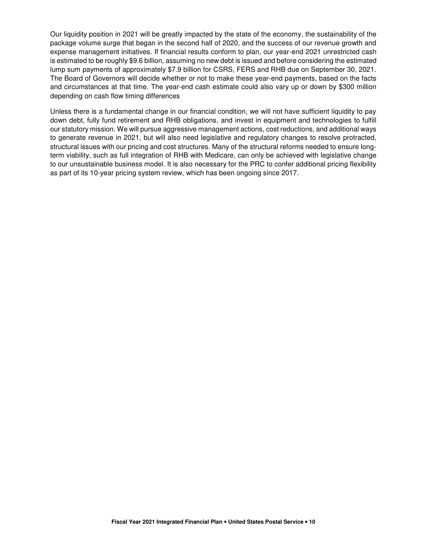Our liquidity position in 2021 will be greatly impacted by the state of the economy, the sustainability of the package volume surge that began in the second half of 2020, and the success of our revenue growth and expense management initiatives. If financial results conform to plan, our year-end 2021 unrestricted cash is estimated to be roughly \$9.6 billion, assuming no new debt is issued and before considering the estimated lump sum payments of approximately \$7.9 billion for CSRS, FERS and RHB due on September 30, 2021. The Board of Governors will decide whether or not to make these year-end payments, based on the facts and circumstances at that time. The year-end cash estimate could also vary up or down by \$300 million depending on cash flow timing differences

Unless there is a fundamental change in our financial condition, we will not have sufficient liquidity to pay down debt, fully fund retirement and RHB obligations, and invest in equipment and technologies to fulfill our statutory mission. We will pursue aggressive management actions, cost reductions, and additional ways to generate revenue in 2021, but will also need legislative and regulatory changes to resolve protracted, structural issues with our pricing and cost structures. Many of the structural reforms needed to ensure longterm viability, such as full integration of RHB with Medicare, can only be achieved with legislative change to our unsustainable business model. It is also necessary for the PRC to confer additional pricing flexibility as part of its 10-year pricing system review, which has been ongoing since 2017.